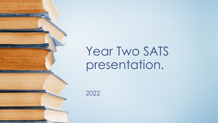# Year Two SATS presentation.

2022

<u> Linguage (Linguage Andres Stadt)</u>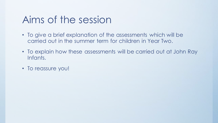## Aims of the session

- To give a brief explanation of the assessments which will be carried out in the summer term for children in Year Two.
- To explain how these assessments will be carried out at John Ray Infants.
- To reassure you!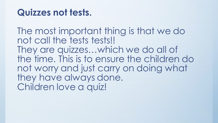#### **Quizzes not tests.**

The most important thing is that we do not call the tests tests!! They are quizzes…which we do all of the time. This is to ensure the children do not worry and just carry on doing what they have always done. Children love a quiz!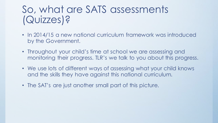# So, what are SATS assessments (Quizzes)?

- In 2014/15 a new national curriculum framework was introduced by the Government.
- Throughout your child's time at school we are assessing and monitoring their progress. TLR's we talk to you about this progress.
- We use lots of different ways of assessing what your child knows and the skills they have against this national curriculum.
- The SAT's are just another small part of this picture.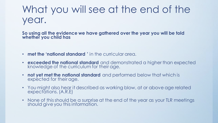# What you will see at the end of the year.

**So using all the evidence we have gathered over the year you will be told whether you child has**

- **met the 'national standard '** in the curricular area.
- **exceeded the national standard** and demonstrated a higher than expected knowledge of the curriculum for their age.
- **not yet met the national standard** and performed below that which is expected for their age.
- You might also hear it described as working blow, at or above age related expectations. (A.R.E)
- None of this should be a surprise at the end of the year as your TLR meetings should give you this information.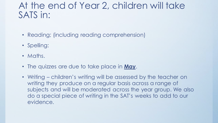#### At the end of Year 2, children will take SATS in:

- Reading; (including reading comprehension)
- Spelling:
- Maths.
- The quizzes are due to take place in **May**.
- Writing children's writing will be assessed by the teacher on writing they produce on a regular basis across a range of subjects and will be moderated across the year group. We also do a special piece of writing in the SAT's weeks to add to our evidence.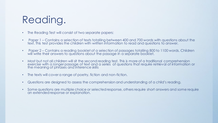# Reading.

- The Reading Test will consist of two separate papers:
- Paper 1 Contains a selection of texts totalling between 400 and 700 words with questions about the text. This test provides the children with written information to read and questions to answer.
- Paper 2 Contains a reading booklet of a selection of passages totalling 800 to 1100 words. Children will write their answers to questions about the passage in a separate booklet.
- Most but not all children will sit the second reading test. This is more of a traditional comprehension exercise with a longer passage of text and a series of questions that require retrieval of information or the meaning of phrases and inference skills
- The texts will cover a range of poetry, fiction and non-fiction.
- Questions are designed to assess the comprehension and understanding of a child's reading.
- Some questions are multiple choice or selected response, others require short answers and some require an extended response or explanation.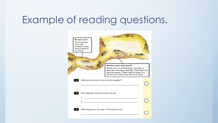### Example of reading questions.

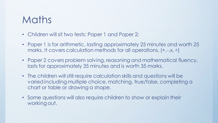### Maths

- Children will sit two tests: Paper 1 and Paper 2:
- Paper 1 is for arithmetic, lasting approximately 25 minutes and worth 25 marks. It covers calculation methods for all operations. (+,-,x, ÷)
- Paper 2 covers problem solving, reasoning and mathematical fluency, lasts for approximately 35 minutes and is worth 35 marks.
- The children will still require calculation skills and questions will be varied including multiple choice, matching, true/false, completing a chart or table or drawing a shape.
- Some questions will also require children to show or explain their working out.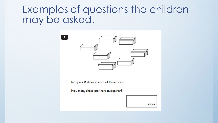#### Examples of questions the children may be asked.



Sita puts 2 shoes in each of these boxes.

How many shoes are there altogether?

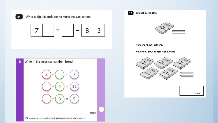

Write a digit in each box to make the sum correct.

 $+$ 7 3 8 =



| Ben has 13 crayons.<br>13                                  |  |
|------------------------------------------------------------|--|
| am<br>Crayons                                              |  |
| Here are Abdul's crayons.                                  |  |
| How many crayons does Abdul have?                          |  |
| UD.<br>Crayons<br>Crayons<br>Crayons<br>Crayons<br>Crayons |  |
| crayons                                                    |  |
|                                                            |  |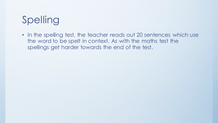# Spelling

• In the spelling test, the teacher reads out 20 sentences which use the word to be spelt in context. As with the maths test the spellings get harder towards the end of the test.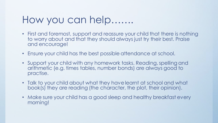### How you can help…….

- First and foremost, support and reassure your child that there is nothing to worry about and that they should always just try their best. Praise and encourage!
- Ensure your child has the best possible attendance at school.
- Support your child with any homework tasks. Reading, spelling and arithmetic (e.g. times tables, number bonds) are always good to practise.
- Talk to your child about what they have learnt at school and what book(s) they are reading (the character, the plot, their opinion).
- Make sure your child has a good sleep and healthy breakfast every morning!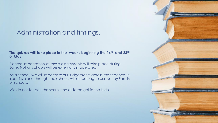#### Administration and timings.

#### **The quizzes will take place in the weeks beginning the 16th and 23rd of May**

External moderation of these assessments will take place during June. Not all schools will be externally moderated.

As a school, we will moderate our judgements across the teachers in Year Two and through the schools which belong to our Notley Family of schools.

We do not tell you the scores the children get in the tests.

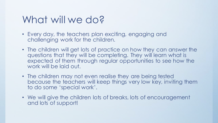## What will we do?

- Every day, the teachers plan exciting, engaging and challenging work for the children.
- The children will get lots of practice on how they can answer the questions that they will be completing. They will learn what is expected of them through regular opportunities to see how the work will be laid out.
- The children may not even realise they are being tested because the teachers will keep things very low key, inviting them to do some 'special work'.
- We will give the children lots of breaks, lots of encouragement and lots of support!